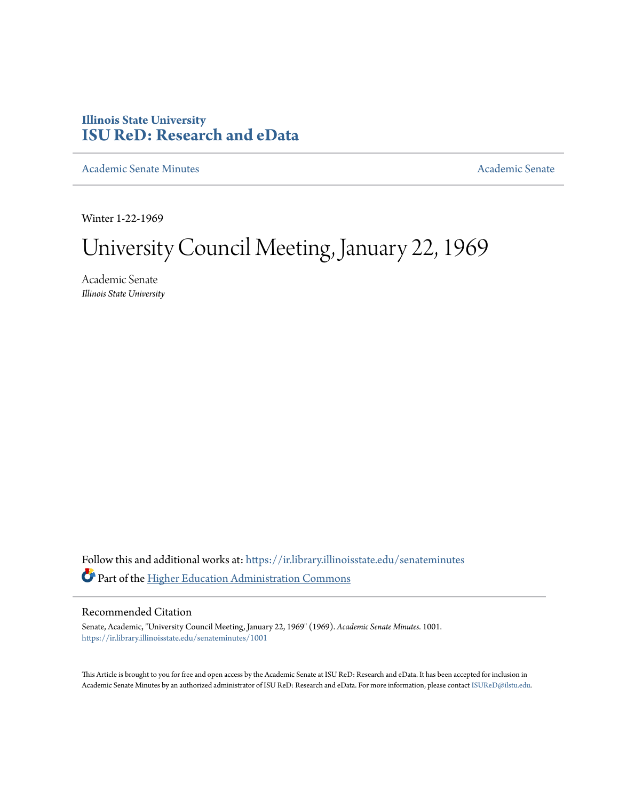## **Illinois State University [ISU ReD: Research and eData](https://ir.library.illinoisstate.edu?utm_source=ir.library.illinoisstate.edu%2Fsenateminutes%2F1001&utm_medium=PDF&utm_campaign=PDFCoverPages)**

[Academic Senate Minutes](https://ir.library.illinoisstate.edu/senateminutes?utm_source=ir.library.illinoisstate.edu%2Fsenateminutes%2F1001&utm_medium=PDF&utm_campaign=PDFCoverPages) [Academic Senate](https://ir.library.illinoisstate.edu/senate?utm_source=ir.library.illinoisstate.edu%2Fsenateminutes%2F1001&utm_medium=PDF&utm_campaign=PDFCoverPages) Academic Senate

Winter 1-22-1969

## University Council Meeting, January 22, 1969

Academic Senate *Illinois State University*

Follow this and additional works at: [https://ir.library.illinoisstate.edu/senateminutes](https://ir.library.illinoisstate.edu/senateminutes?utm_source=ir.library.illinoisstate.edu%2Fsenateminutes%2F1001&utm_medium=PDF&utm_campaign=PDFCoverPages) Part of the [Higher Education Administration Commons](http://network.bepress.com/hgg/discipline/791?utm_source=ir.library.illinoisstate.edu%2Fsenateminutes%2F1001&utm_medium=PDF&utm_campaign=PDFCoverPages)

## Recommended Citation

Senate, Academic, "University Council Meeting, January 22, 1969" (1969). *Academic Senate Minutes*. 1001. [https://ir.library.illinoisstate.edu/senateminutes/1001](https://ir.library.illinoisstate.edu/senateminutes/1001?utm_source=ir.library.illinoisstate.edu%2Fsenateminutes%2F1001&utm_medium=PDF&utm_campaign=PDFCoverPages)

This Article is brought to you for free and open access by the Academic Senate at ISU ReD: Research and eData. It has been accepted for inclusion in Academic Senate Minutes by an authorized administrator of ISU ReD: Research and eData. For more information, please contact [ISUReD@ilstu.edu.](mailto:ISUReD@ilstu.edu)